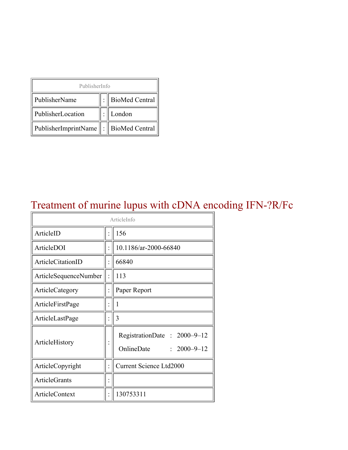| PublisherInfo                               |  |                    |  |  |
|---------------------------------------------|--|--------------------|--|--|
| PublisherName                               |  | :   BioMed Central |  |  |
| PublisherLocation                           |  | London             |  |  |
| PublisherImprintName    :    BioMed Central |  |                    |  |  |

### Treatment of murine lupus with cDNA encoding IFN-?R/Fc

| ArticleInfo           |  |                                                                |
|-----------------------|--|----------------------------------------------------------------|
| ArticleID             |  | 156                                                            |
| ArticleDOI            |  | 10.1186/ar-2000-66840                                          |
| ArticleCitationID     |  | 66840                                                          |
| ArticleSequenceNumber |  | 113                                                            |
| ArticleCategory       |  | Paper Report                                                   |
| ArticleFirstPage      |  | 1                                                              |
| ArticleLastPage       |  | 3                                                              |
| ArticleHistory        |  | RegistrationDate: 2000-9-12<br>OnlineDate<br>$: 2000 - 9 - 12$ |
| ArticleCopyright      |  | <b>Current Science Ltd2000</b>                                 |
| <b>ArticleGrants</b>  |  |                                                                |
| <b>ArticleContext</b> |  | 130753311                                                      |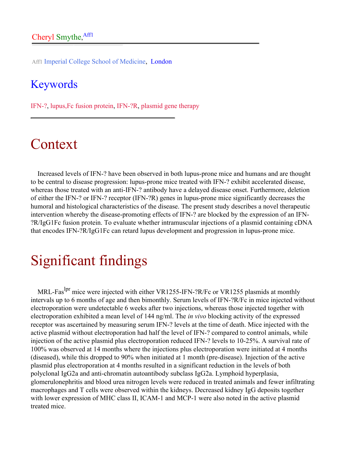Aff1 Imperial College School of Medicine, London

#### Keywords

IFN-?, lupus,Fc fusion protein, IFN-?R, plasmid gene therapy

# Context

Increased levels of IFN-? have been observed in both lupus-prone mice and humans and are thought to be central to disease progression: lupus-prone mice treated with IFN-? exhibit accelerated disease, whereas those treated with an anti-IFN-? antibody have a delayed disease onset. Furthermore, deletion of either the IFN-? or IFN-? receptor (IFN-?R) genes in lupus-prone mice significantly decreases the humoral and histological characteristics of the disease. The present study describes a novel therapeutic intervention whereby the disease-promoting effects of IFN-? are blocked by the expression of an IFN- ?R/IgG1Fc fusion protein. To evaluate whether intramuscular injections of a plasmid containing cDNA that encodes IFN-?R/IgG1Fc can retard lupus development and progression in lupus-prone mice.

# Significant findings

MRL-Fas<sup>lpr</sup> mice were injected with either VR1255-IFN-?R/Fc or VR1255 plasmids at monthly intervals up to 6 months of age and then bimonthly. Serum levels of IFN-?R/Fc in mice injected without electroporation were undetectable 6 weeks after two injections, whereas those injected together with electroporation exhibited a mean level of 144 ng/ml. The *in vivo* blocking activity of the expressed receptor was ascertained by measuring serum IFN-? levels at the time of death. Mice injected with the active plasmid without electroporation had half the level of IFN-? compared to control animals, while injection of the active plasmid plus electroporation reduced IFN-? levels to 10-25%. A survival rate of 100% was observed at 14 months where the injections plus electroporation were initiated at 4 months (diseased), while this dropped to 90% when initiated at 1 month (pre-disease). Injection of the active plasmid plus electroporation at 4 months resulted in a significant reduction in the levels of both polyclonal IgG2a and anti-chromatin autoantibody subclass IgG2a. Lymphoid hyperplasia, glomerulonephritis and blood urea nitrogen levels were reduced in treated animals and fewer infiltrating macrophages and T cells were observed within the kidneys. Decreased kidney IgG deposits together with lower expression of MHC class II, ICAM-1 and MCP-1 were also noted in the active plasmid treated mice.